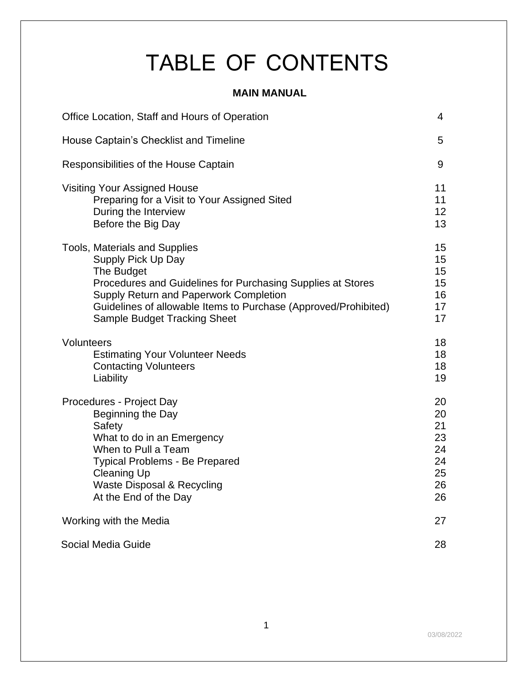# TABLE OF CONTENTS

#### **MAIN MANUAL**

| Office Location, Staff and Hours of Operation                                                                                                                                                                                                                                                      | $\overline{4}$                                     |
|----------------------------------------------------------------------------------------------------------------------------------------------------------------------------------------------------------------------------------------------------------------------------------------------------|----------------------------------------------------|
| House Captain's Checklist and Timeline                                                                                                                                                                                                                                                             | 5                                                  |
| Responsibilities of the House Captain                                                                                                                                                                                                                                                              | 9                                                  |
| <b>Visiting Your Assigned House</b><br>Preparing for a Visit to Your Assigned Sited<br>During the Interview<br>Before the Big Day                                                                                                                                                                  | 11<br>11<br>12<br>13                               |
| <b>Tools, Materials and Supplies</b><br>Supply Pick Up Day<br>The Budget<br>Procedures and Guidelines for Purchasing Supplies at Stores<br><b>Supply Return and Paperwork Completion</b><br>Guidelines of allowable Items to Purchase (Approved/Prohibited)<br><b>Sample Budget Tracking Sheet</b> | 15<br>15<br>15<br>15<br>16<br>17<br>17             |
| Volunteers<br><b>Estimating Your Volunteer Needs</b><br><b>Contacting Volunteers</b><br>Liability                                                                                                                                                                                                  | 18<br>18<br>18<br>19                               |
| Procedures - Project Day<br>Beginning the Day<br>Safety<br>What to do in an Emergency<br>When to Pull a Team<br><b>Typical Problems - Be Prepared</b><br><b>Cleaning Up</b><br>Waste Disposal & Recycling<br>At the End of the Day                                                                 | 20<br>20<br>21<br>23<br>24<br>24<br>25<br>26<br>26 |
| Working with the Media                                                                                                                                                                                                                                                                             | 27                                                 |
| Social Media Guide                                                                                                                                                                                                                                                                                 | 28                                                 |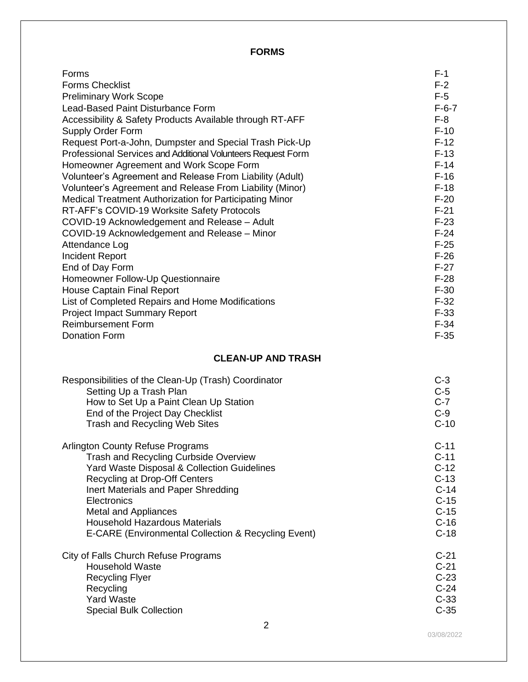#### **FORMS**

| Forms                                                          | $F-1$   |
|----------------------------------------------------------------|---------|
| <b>Forms Checklist</b>                                         | $F-2$   |
| <b>Preliminary Work Scope</b>                                  | $F-5$   |
| Lead-Based Paint Disturbance Form                              | $F-6-7$ |
| Accessibility & Safety Products Available through RT-AFF       | $F-8$   |
| Supply Order Form                                              | $F-10$  |
| Request Port-a-John, Dumpster and Special Trash Pick-Up        | $F-12$  |
| Professional Services and Additional Volunteers Request Form   | $F-13$  |
| Homeowner Agreement and Work Scope Form                        | $F-14$  |
| Volunteer's Agreement and Release From Liability (Adult)       | $F-16$  |
| Volunteer's Agreement and Release From Liability (Minor)       | $F-18$  |
| <b>Medical Treatment Authorization for Participating Minor</b> | $F-20$  |
| RT-AFF's COVID-19 Worksite Safety Protocols                    | $F-21$  |
| COVID-19 Acknowledgement and Release - Adult                   | $F-23$  |
| COVID-19 Acknowledgement and Release - Minor                   | $F-24$  |
| Attendance Log                                                 | $F-25$  |
| <b>Incident Report</b>                                         | $F-26$  |
| End of Day Form                                                | $F-27$  |
| Homeowner Follow-Up Questionnaire                              | $F-28$  |
| <b>House Captain Final Report</b>                              | $F-30$  |
| List of Completed Repairs and Home Modifications               | $F-32$  |
| <b>Project Impact Summary Report</b>                           | $F-33$  |
| <b>Reimbursement Form</b>                                      | $F-34$  |
| <b>Donation Form</b>                                           | $F-35$  |
| <b>CLEAN-UP AND TRASH</b>                                      |         |
| Responsibilities of the Clean-Up (Trash) Coordinator           | $C-3$   |
| Setting Up a Trash Plan                                        | $C-5$   |
| How to Set Up a Paint Clean Up Station                         | $C-7$   |
| End of the Project Day Checklist                               | $C-9$   |
| <b>Trash and Recycling Web Sites</b>                           | $C-10$  |
| <b>Arlington County Refuse Programs</b>                        | $C-11$  |
| <b>Trash and Recycling Curbside Overview</b>                   | $C-11$  |
| Yard Waste Disposal & Collection Guidelines                    | $C-12$  |
| Recycling at Drop-Off Centers                                  | $C-13$  |
| Inert Materials and Paper Shredding                            | $C-14$  |
| Electronics                                                    | $C-15$  |
| <b>Metal and Appliances</b>                                    | $C-15$  |
| <b>Household Hazardous Materials</b>                           | $C-16$  |
| E-CARE (Environmental Collection & Recycling Event)            | $C-18$  |
| City of Falls Church Refuse Programs                           | $C-21$  |
| <b>Household Waste</b>                                         | $C-21$  |
| <b>Recycling Flyer</b>                                         | $C-23$  |
| Recycling                                                      | $C-24$  |
| <b>Yard Waste</b>                                              | $C-33$  |
| <b>Special Bulk Collection</b>                                 | $C-35$  |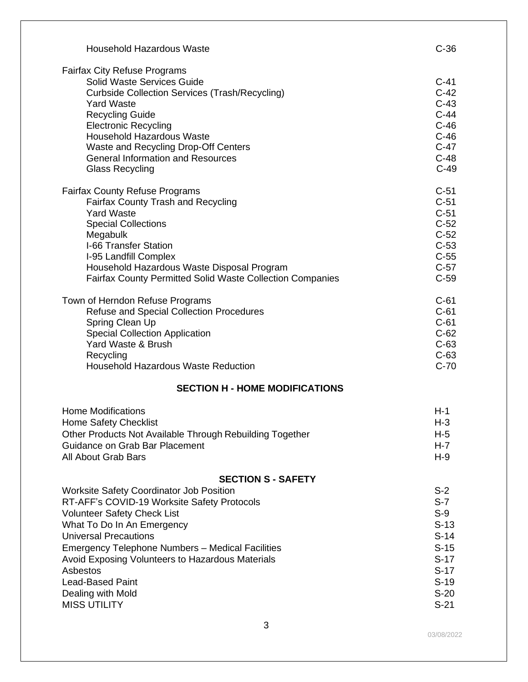| <b>Household Hazardous Waste</b>                                                                                                                                                                                                                                                                                                                                                                                                  | $C-36$                                                                                                  |
|-----------------------------------------------------------------------------------------------------------------------------------------------------------------------------------------------------------------------------------------------------------------------------------------------------------------------------------------------------------------------------------------------------------------------------------|---------------------------------------------------------------------------------------------------------|
| <b>Fairfax City Refuse Programs</b><br>Solid Waste Services Guide<br>Curbside Collection Services (Trash/Recycling)<br><b>Yard Waste</b><br><b>Recycling Guide</b><br><b>Electronic Recycling</b><br><b>Household Hazardous Waste</b><br>Waste and Recycling Drop-Off Centers<br><b>General Information and Resources</b><br><b>Glass Recycling</b>                                                                               | $C-41$<br>$C-42$<br>$C-43$<br>$C-44$<br>$C-46$<br>$C-46$<br>$C-47$<br>$C-48$<br>$C-49$                  |
| <b>Fairfax County Refuse Programs</b><br><b>Fairfax County Trash and Recycling</b><br><b>Yard Waste</b><br><b>Special Collections</b><br>Megabulk<br>I-66 Transfer Station<br>I-95 Landfill Complex<br>Household Hazardous Waste Disposal Program<br><b>Fairfax County Permitted Solid Waste Collection Companies</b>                                                                                                             | $C-51$<br>$C-51$<br>$C-51$<br>$C-52$<br>$C-52$<br>$C-53$<br>$C-55$<br>$C-57$<br>$C-59$                  |
| Town of Herndon Refuse Programs<br><b>Refuse and Special Collection Procedures</b><br>Spring Clean Up<br><b>Special Collection Application</b><br>Yard Waste & Brush<br>Recycling<br><b>Household Hazardous Waste Reduction</b><br><b>SECTION H - HOME MODIFICATIONS</b>                                                                                                                                                          | $C-61$<br>$C-61$<br>$C-61$<br>$C-62$<br>$C-63$<br>$C-63$<br>$C-70$                                      |
| <b>Home Modifications</b><br>Home Safety Checklist<br>Other Products Not Available Through Rebuilding Together<br>Guidance on Grab Bar Placement<br>All About Grab Bars                                                                                                                                                                                                                                                           | $H-1$<br>$H-3$<br>H-5<br>$H - 7$<br>$H-9$                                                               |
| <b>SECTION S - SAFETY</b><br><b>Worksite Safety Coordinator Job Position</b><br>RT-AFF's COVID-19 Worksite Safety Protocols<br><b>Volunteer Safety Check List</b><br>What To Do In An Emergency<br><b>Universal Precautions</b><br><b>Emergency Telephone Numbers - Medical Facilities</b><br>Avoid Exposing Volunteers to Hazardous Materials<br>Asbestos<br><b>Lead-Based Paint</b><br>Dealing with Mold<br><b>MISS UTILITY</b> | $S-2$<br>$S-7$<br>$S-9$<br>$S-13$<br>$S-14$<br>$S-15$<br>$S-17$<br>$S-17$<br>$S-19$<br>$S-20$<br>$S-21$ |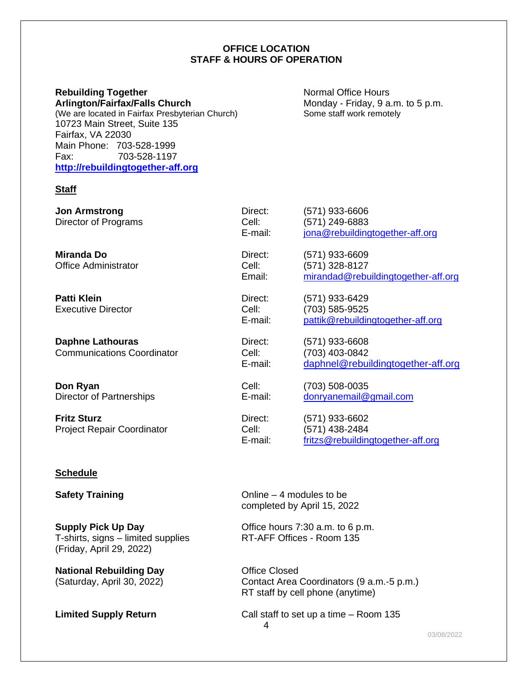#### **OFFICE LOCATION STAFF & HOURS OF OPERATION**

### **Rebuilding Together Normal Office Hours**

(We are located in Fairfax Presbyterian Church) 10723 Main Street, Suite 135 Fairfax, VA 22030 Main Phone: 703-528-1999 Fax: 703-528-1197 **[http://rebuildingtogether-aff.org](http://rebuildingtogether-aff.org/)**

# **Arlington/Fairfax/Falls Church** Monday - Friday, 9 a.m. to 5 p.m. (We are located in Fairfax Presbyterian Church)

#### **Staff**

| <b>Jon Armstrong</b><br>Director of Programs                 | Direct:<br>Cell:<br>E-mail:    | (571) 933-6606<br>(571) 249-6883<br>jona@rebuildingtogether-aff.org     |
|--------------------------------------------------------------|--------------------------------|-------------------------------------------------------------------------|
| <b>Miranda Do</b><br><b>Office Administrator</b>             | Direct:<br>Cell:<br>Email:     | (571) 933-6609<br>(571) 328-8127<br>mirandad@rebuildingtogether-aff.org |
| <b>Patti Klein</b><br>Executive Director                     | Direct:<br>Cell:<br>E-mail:    | (571) 933-6429<br>(703) 585-9525<br>pattik@rebuildingtogether-aff.org   |
| <b>Daphne Lathouras</b><br><b>Communications Coordinator</b> | Direct:<br>Cell:<br>E-mail:    | (571) 933-6608<br>(703) 403-0842<br>daphnel@rebuildingtogether-aff.org  |
| Don Ryan<br>Director of Partnerships                         | Cell:<br>E-mail:               | (703) 508-0035<br>donryanemail@gmail.com                                |
| <b>Fritz Sturz</b><br><b>Project Repair Coordinator</b>      | Direct:<br>Cell:<br>$E$ -mail: | (571) 933-6602<br>(571) 438-2484<br>fritzs@rebuildingtogether-aff.org   |

#### **Schedule**

**Supply Pick Up Day Conserver Conserver Supply Pick Up Day Conserver Conserver Conserver Conserver T-shirts.** signs – limited supplies **Conserver Conserver Conserver Conserver Conserver Conserver Conserver T-shirts.** s T-shirts, signs – limited supplies (Friday, April 29, 2022)

**National Rebuilding Day Office Closed** 

**Safety Training** Change Change – 4 modules to be completed by April 15, 2022

(Saturday, April 30, 2022) Contact Area Coordinators (9 a.m.-5 p.m.) RT staff by cell phone (anytime)

4 **Limited Supply Return** Call staff to set up a time – Room 135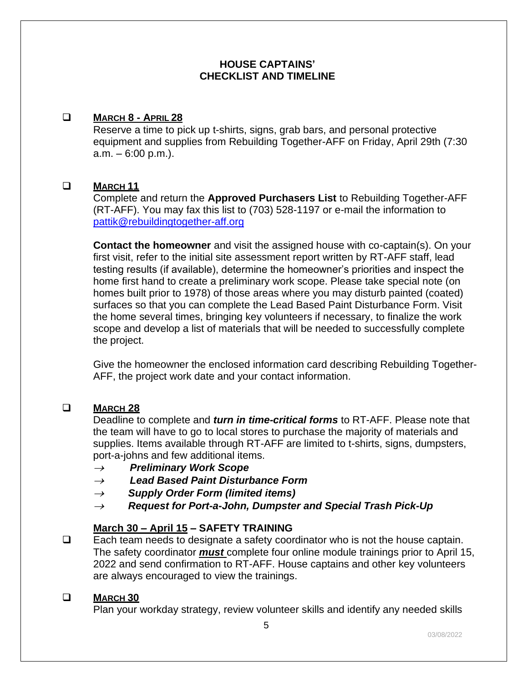#### **HOUSE CAPTAINS' CHECKLIST AND TIMELINE**

#### <span id="page-4-0"></span>❑ **MARCH 8 - APRIL 28**

Reserve a time to pick up t-shirts, signs, grab bars, and personal protective equipment and supplies from Rebuilding Together-AFF on Friday, April 29th (7:30  $a.m. - 6:00 p.m.$ ).

#### ❑ **MARCH 11**

Complete and return the **Approved Purchasers List** to Rebuilding Together-AFF (RT-AFF). You may fax this list to (703) 528-1197 or e-mail the information to [pattik@rebuildingtogether-aff.org](mailto:pattik@rebuildingtogether-aff.org)

**Contact the homeowner** and visit the assigned house with co-captain(s). On your first visit, refer to the initial site assessment report written by RT-AFF staff, lead testing results (if available), determine the homeowner's priorities and inspect the home first hand to create a preliminary work scope. Please take special note (on homes built prior to 1978) of those areas where you may disturb painted (coated) surfaces so that you can complete the Lead Based Paint Disturbance Form. Visit the home several times, bringing key volunteers if necessary, to finalize the work scope and develop a list of materials that will be needed to successfully complete the project.

Give the homeowner the enclosed information card describing Rebuilding Together-AFF, the project work date and your contact information.

#### ❑ **MARCH 28**

Deadline to complete and *turn in time-critical forms* to RT-AFF. Please note that the team will have to go to local stores to purchase the majority of materials and supplies. Items available through RT-AFF are limited to t-shirts, signs, dumpsters, port-a-johns and few additional items.

- <sup>→</sup> *Preliminary Work Scope*
- <sup>→</sup> *Lead Based Paint Disturbance Form*
- <sup>→</sup> *Supply Order Form (limited items)*
- <sup>→</sup> *Request for Port-a-John, Dumpster and Special Trash Pick-Up*

#### **March 30 – April 15 – SAFETY TRAINING**

❑ Each team needs to designate a safety coordinator who is not the house captain. The safety coordinator *must* complete four online module trainings prior to April 15, 2022 and send confirmation to RT-AFF. House captains and other key volunteers are always encouraged to view the trainings.

#### ❑ **MARCH 30**

Plan your workday strategy, review volunteer skills and identify any needed skills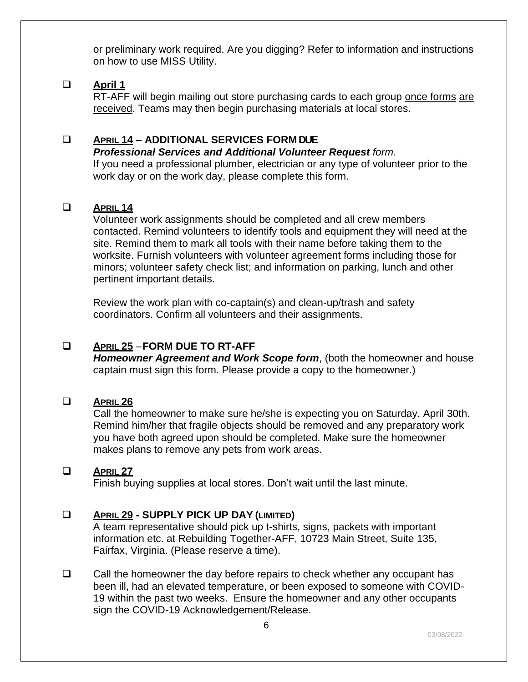or preliminary work required. Are you digging? Refer to information and instructions on how to use MISS Utility.

#### ❑ **April 1**

RT-AFF will begin mailing out store purchasing cards to each group once forms are received. Teams may then begin purchasing materials at local stores.

#### ❑ **APRIL 14 – ADDITIONAL SERVICES FORM DUE**

#### *Professional Services and Additional Volunteer Request form.*

If you need a professional plumber, electrician or any type of volunteer prior to the work day or on the work day, please complete this form.

#### ❑ **APRIL 14**

Volunteer work assignments should be completed and all crew members contacted. Remind volunteers to identify tools and equipment they will need at the site. Remind them to mark all tools with their name before taking them to the worksite. Furnish volunteers with volunteer agreement forms including those for minors; volunteer safety check list; and information on parking, lunch and other pertinent important details.

Review the work plan with co-captain(s) and clean-up/trash and safety coordinators. Confirm all volunteers and their assignments.

#### ❑ **APRIL 25** –**FORM DUE TO RT-AFF**

*Homeowner Agreement and Work Scope form*, (both the homeowner and house *c*aptain must sign this form. Please provide a copy to the homeowner.)

#### ❑ **APRIL 26**

Call the homeowner to make sure he/she is expecting you on Saturday, April 30th. Remind him/her that fragile objects should be removed and any preparatory work you have both agreed upon should be completed. Make sure the homeowner makes plans to remove any pets from work areas.

#### ❑ **APRIL 27**

Finish buying supplies at local stores. Don't wait until the last minute.

#### ❑ **APRIL 29 - SUPPLY PICK UP DAY (LIMITED)**

A team representative should pick up t-shirts, signs, packets with important information etc. at Rebuilding Together-AFF, 10723 Main Street, Suite 135, Fairfax, Virginia. (Please reserve a time).

❑ Call the homeowner the day before repairs to check whether any occupant has been ill, had an elevated temperature, or been exposed to someone with COVID-19 within the past two weeks. Ensure the homeowner and any other occupants sign the COVID-19 Acknowledgement/Release.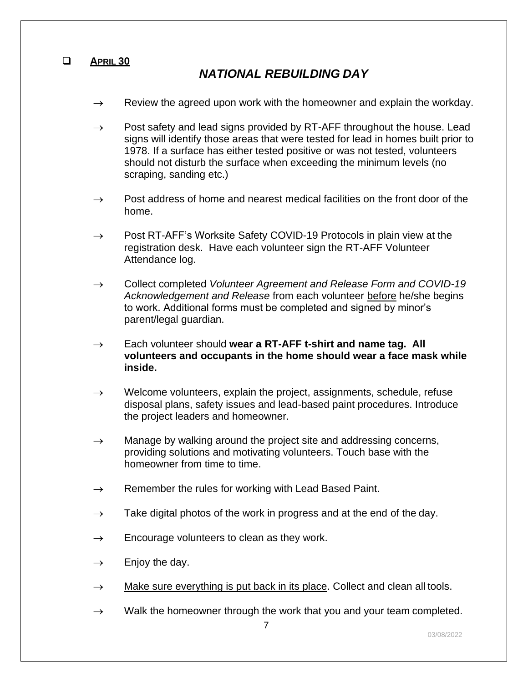#### ❑ **APRIL 30**

#### *NATIONAL REBUILDING DAY*

- $\rightarrow$  Review the agreed upon work with the homeowner and explain the workday.
- $\rightarrow$  Post safety and lead signs provided by RT-AFF throughout the house. Lead signs will identify those areas that were tested for lead in homes built prior to 1978. If a surface has either tested positive or was not tested, volunteers should not disturb the surface when exceeding the minimum levels (no scraping, sanding etc.)
- $\rightarrow$  Post address of home and nearest medical facilities on the front door of the home.
- $\rightarrow$  Post RT-AFF's Worksite Safety COVID-19 Protocols in plain view at the registration desk. Have each volunteer sign the RT-AFF Volunteer Attendance log.
- → Collect completed *Volunteer Agreement and Release Form and COVID-19 Acknowledgement and Release* from each volunteer before he/she begins to work. Additional forms must be completed and signed by minor's parent/legal guardian.
- → Each volunteer should **wear a RT-AFF t-shirt and name tag. All volunteers and occupants in the home should wear a face mask while inside.**
- $\rightarrow$  Welcome volunteers, explain the project, assignments, schedule, refuse disposal plans, safety issues and lead-based paint procedures. Introduce the project leaders and homeowner.
- $\rightarrow$  Manage by walking around the project site and addressing concerns, providing solutions and motivating volunteers. Touch base with the homeowner from time to time.
- $\rightarrow$  Remember the rules for working with Lead Based Paint.
- $\rightarrow$  Take digital photos of the work in progress and at the end of the day.
- $\rightarrow$  Encourage volunteers to clean as they work.
- $\rightarrow$  Enjoy the day.
- $\rightarrow$  Make sure everything is put back in its place. Collect and clean all tools.
- $\rightarrow$  Walk the homeowner through the work that you and your team completed.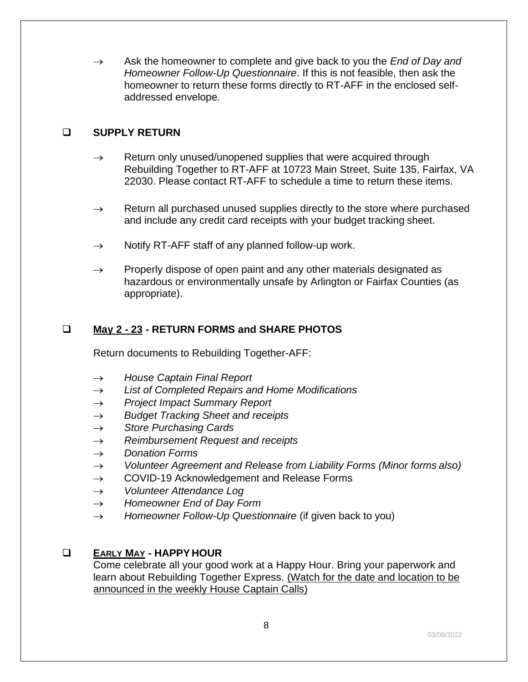→ Ask the homeowner to complete and give back to you the *End of Day and Homeowner Follow-Up Questionnaire*. If this is not feasible, then ask the homeowner to return these forms directly to RT-AFF in the enclosed selfaddressed envelope.

#### ❑ **SUPPLY RETURN**

- $\rightarrow$  Return only unused/unopened supplies that were acquired through Rebuilding Together to RT-AFF at 10723 Main Street, Suite 135, Fairfax, VA 22030. Please contact RT-AFF to schedule a time to return these items.
- $\rightarrow$  Return all purchased unused supplies directly to the store where purchased and include any credit card receipts with your budget tracking sheet.
- $\rightarrow$  Notify RT-AFF staff of any planned follow-up work.
- $\rightarrow$  Properly dispose of open paint and any other materials designated as hazardous or environmentally unsafe by Arlington or Fairfax Counties (as appropriate).

#### ❑ **May 2 - 23 - RETURN FORMS and SHARE PHOTOS**

Return documents to Rebuilding Together-AFF:

- → *House Captain Final Report*
- → *List of Completed Repairs and Home Modifications*
- → *Project Impact Summary Report*
- → *Budget Tracking Sheet and receipts*
- → *Store Purchasing Cards*
- → *Reimbursement Request and receipts*
- → *Donation Forms*
- → *Volunteer Agreement and Release from Liability Forms (Minor forms also)*
- $\rightarrow$  COVID-19 Acknowledgement and Release Forms
- → *Volunteer Attendance Log*
- → *Homeowner End of Day Form*
- → *Homeowner Follow-Up Questionnaire* (if given back to you)

#### ❑ **EARLY MAY - HAPPY HOUR**

Come celebrate all your good work at a Happy Hour. Bring your paperwork and learn about Rebuilding Together Express. (Watch for the date and location to be announced in the weekly House Captain Calls)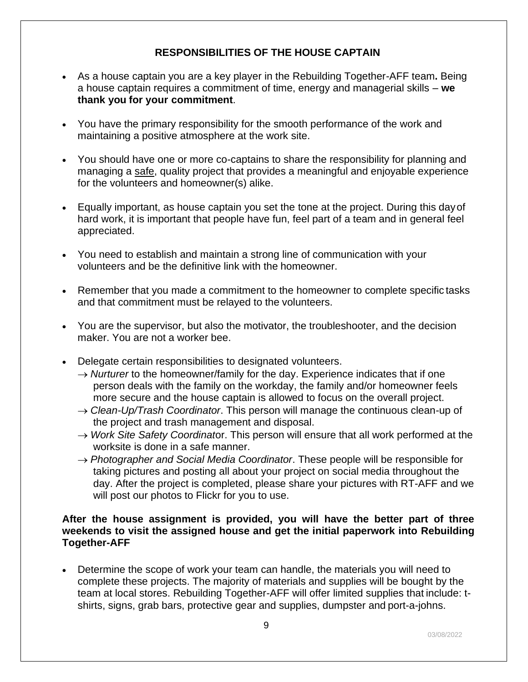#### **RESPONSIBILITIES OF THE HOUSE CAPTAIN**

- <span id="page-8-0"></span>• As a house captain you are a key player in the Rebuilding Together-AFF team**.** Being a house captain requires a commitment of time, energy and managerial skills – **we thank you for your commitment**.
- You have the primary responsibility for the smooth performance of the work and maintaining a positive atmosphere at the work site.
- You should have one or more co-captains to share the responsibility for planning and managing a safe, quality project that provides a meaningful and enjoyable experience for the volunteers and homeowner(s) alike.
- Equally important, as house captain you set the tone at the project. During this dayof hard work, it is important that people have fun, feel part of a team and in general feel appreciated.
- You need to establish and maintain a strong line of communication with your volunteers and be the definitive link with the homeowner.
- Remember that you made a commitment to the homeowner to complete specific tasks and that commitment must be relayed to the volunteers.
- You are the supervisor, but also the motivator, the troubleshooter, and the decision maker. You are not a worker bee.
- Delegate certain responsibilities to designated volunteers.
	- $\rightarrow$  *Nurturer* to the homeowner/family for the day. Experience indicates that if one person deals with the family on the workday, the family and/or homeowner feels more secure and the house captain is allowed to focus on the overall project.
	- → *Clean-Up/Trash Coordinator*. This person will manage the continuous clean-up of the project and trash management and disposal.
	- → *Work Site Safety Coordinat*or. This person will ensure that all work performed at the worksite is done in a safe manner.
	- → *Photographer and Social Media Coordinator*. These people will be responsible for taking pictures and posting all about your project on social media throughout the day. After the project is completed, please share your pictures with RT-AFF and we will post our photos to Flickr for you to use.

#### **After the house assignment is provided, you will have the better part of three weekends to visit the assigned house and get the initial paperwork into Rebuilding Together-AFF**

• Determine the scope of work your team can handle, the materials you will need to complete these projects. The majority of materials and supplies will be bought by the team at local stores. Rebuilding Together-AFF will offer limited supplies that include: tshirts, signs, grab bars, protective gear and supplies, dumpster and port-a-johns.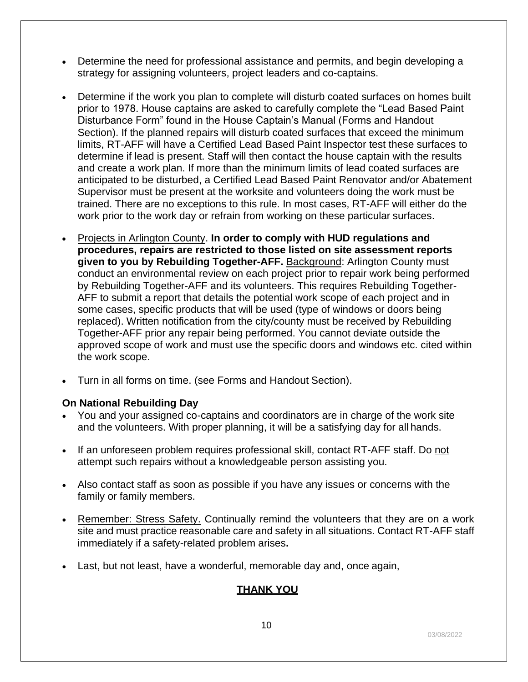- Determine the need for professional assistance and permits, and begin developing a strategy for assigning volunteers, project leaders and co-captains.
- Determine if the work you plan to complete will disturb coated surfaces on homes built prior to 1978. House captains are asked to carefully complete the "Lead Based Paint Disturbance Form" found in the House Captain's Manual (Forms and Handout Section). If the planned repairs will disturb coated surfaces that exceed the minimum limits, RT-AFF will have a Certified Lead Based Paint Inspector test these surfaces to determine if lead is present. Staff will then contact the house captain with the results and create a work plan. If more than the minimum limits of lead coated surfaces are anticipated to be disturbed, a Certified Lead Based Paint Renovator and/or Abatement Supervisor must be present at the worksite and volunteers doing the work must be trained. There are no exceptions to this rule. In most cases, RT-AFF will either do the work prior to the work day or refrain from working on these particular surfaces.
- Projects in Arlington County. **In order to comply with HUD regulations and procedures, repairs are restricted to those listed on site assessment reports given to you by Rebuilding Together-AFF.** Background: Arlington County must conduct an environmental review on each project prior to repair work being performed by Rebuilding Together-AFF and its volunteers. This requires Rebuilding Together-AFF to submit a report that details the potential work scope of each project and in some cases, specific products that will be used (type of windows or doors being replaced). Written notification from the city/county must be received by Rebuilding Together-AFF prior any repair being performed. You cannot deviate outside the approved scope of work and must use the specific doors and windows etc. cited within the work scope.
- Turn in all forms on time. (see Forms and Handout Section).

#### **On National Rebuilding Day**

- You and your assigned co-captains and coordinators are in charge of the work site and the volunteers. With proper planning, it will be a satisfying day for all hands.
- If an unforeseen problem requires professional skill, contact RT-AFF staff. Do not attempt such repairs without a knowledgeable person assisting you.
- Also contact staff as soon as possible if you have any issues or concerns with the family or family members.
- Remember: Stress Safety. Continually remind the volunteers that they are on a work site and must practice reasonable care and safety in all situations. Contact RT-AFF staff immediately if a safety-related problem arises**.**
- Last, but not least, have a wonderful, memorable day and, once again,

#### **THANK YOU**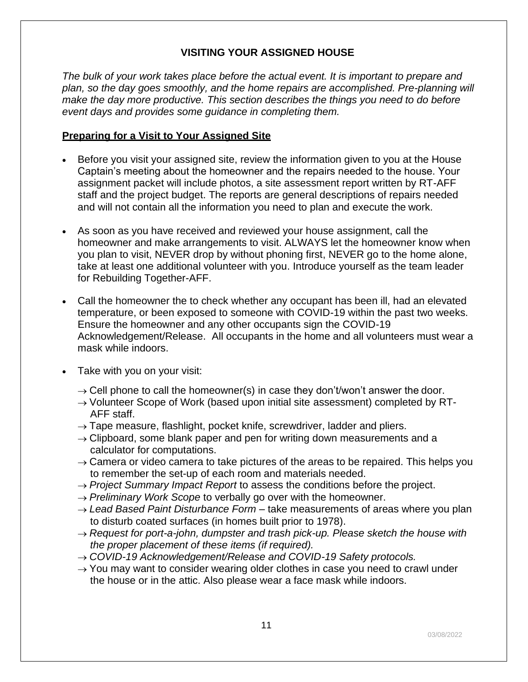#### **VISITING YOUR ASSIGNED HOUSE**

<span id="page-10-0"></span>*The bulk of your work takes place before the actual event. It is important to prepare and plan, so the day goes smoothly, and the home repairs are accomplished. Pre-planning will make the day more productive. This section describes the things you need to do before event days and provides some guidance in completing them.*

#### **Preparing for a Visit to Your Assigned Site**

- Before you visit your assigned site, review the information given to you at the House Captain's meeting about the homeowner and the repairs needed to the house. Your assignment packet will include photos, a site assessment report written by RT-AFF staff and the project budget. The reports are general descriptions of repairs needed and will not contain all the information you need to plan and execute the work.
- As soon as you have received and reviewed your house assignment, call the homeowner and make arrangements to visit. ALWAYS let the homeowner know when you plan to visit, NEVER drop by without phoning first, NEVER go to the home alone, take at least one additional volunteer with you. Introduce yourself as the team leader for Rebuilding Together-AFF.
- Call the homeowner the to check whether any occupant has been ill, had an elevated temperature, or been exposed to someone with COVID-19 within the past two weeks. Ensure the homeowner and any other occupants sign the COVID-19 Acknowledgement/Release. All occupants in the home and all volunteers must wear a mask while indoors.
- Take with you on your visit:
	- $\rightarrow$  Cell phone to call the homeowner(s) in case they don't/won't answer the door.
	- $\rightarrow$  Volunteer Scope of Work (based upon initial site assessment) completed by RT-AFF staff.
	- $\rightarrow$  Tape measure, flashlight, pocket knife, screwdriver, ladder and pliers.
	- $\rightarrow$  Clipboard, some blank paper and pen for writing down measurements and a calculator for computations.
	- $\rightarrow$  Camera or video camera to take pictures of the areas to be repaired. This helps you to remember the set-up of each room and materials needed.
	- → *Project Summary Impact Report* to assess the conditions before the project.
	- → *Preliminary Work Scope* to verbally go over with the homeowner.
	- → *Lead Based Paint Disturbance Form*  take measurements of areas where you plan to disturb coated surfaces (in homes built prior to 1978).
	- → *Request for port-a-john, dumpster and trash pick-up. Please sketch the house with the proper placement of these items (if required).*
	- → *COVID-19 Acknowledgement/Release and COVID-19 Safety protocols.*
	- $\rightarrow$  You may want to consider wearing older clothes in case you need to crawl under the house or in the attic. Also please wear a face mask while indoors.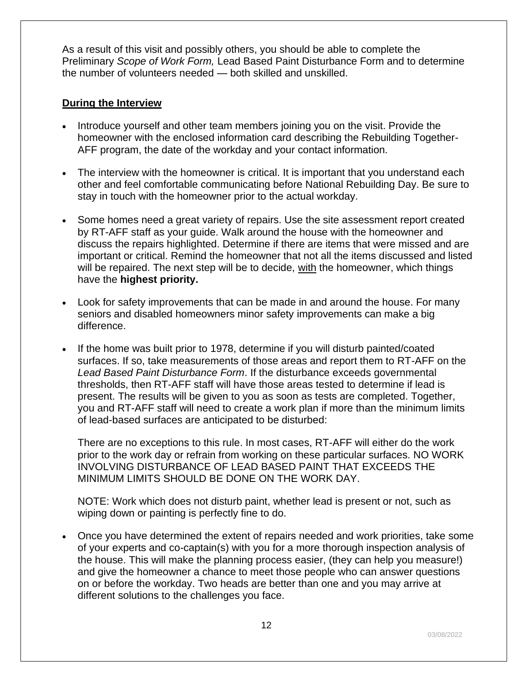As a result of this visit and possibly others, you should be able to complete the Preliminary *Scope of Work Form,* Lead Based Paint Disturbance Form and to determine the number of volunteers needed — both skilled and unskilled.

#### <span id="page-11-0"></span>**During the Interview**

- Introduce yourself and other team members joining you on the visit. Provide the homeowner with the enclosed information card describing the Rebuilding Together-AFF program, the date of the workday and your contact information.
- The interview with the homeowner is critical. It is important that you understand each other and feel comfortable communicating before National Rebuilding Day. Be sure to stay in touch with the homeowner prior to the actual workday.
- Some homes need a great variety of repairs. Use the site assessment report created by RT-AFF staff as your guide. Walk around the house with the homeowner and discuss the repairs highlighted. Determine if there are items that were missed and are important or critical. Remind the homeowner that not all the items discussed and listed will be repaired. The next step will be to decide, with the homeowner, which things have the **highest priority.**
- Look for safety improvements that can be made in and around the house. For many seniors and disabled homeowners minor safety improvements can make a big difference.
- If the home was built prior to 1978, determine if you will disturb painted/coated surfaces. If so, take measurements of those areas and report them to RT-AFF on the *Lead Based Paint Disturbance Form*. If the disturbance exceeds governmental thresholds, then RT-AFF staff will have those areas tested to determine if lead is present. The results will be given to you as soon as tests are completed. Together, you and RT-AFF staff will need to create a work plan if more than the minimum limits of lead-based surfaces are anticipated to be disturbed:

There are no exceptions to this rule. In most cases, RT-AFF will either do the work prior to the work day or refrain from working on these particular surfaces. NO WORK INVOLVING DISTURBANCE OF LEAD BASED PAINT THAT EXCEEDS THE MINIMUM LIMITS SHOULD BE DONE ON THE WORK DAY.

NOTE: Work which does not disturb paint, whether lead is present or not, such as wiping down or painting is perfectly fine to do.

• Once you have determined the extent of repairs needed and work priorities, take some of your experts and co-captain(s) with you for a more thorough inspection analysis of the house. This will make the planning process easier, (they can help you measure!) and give the homeowner a chance to meet those people who can answer questions on or before the workday. Two heads are better than one and you may arrive at different solutions to the challenges you face.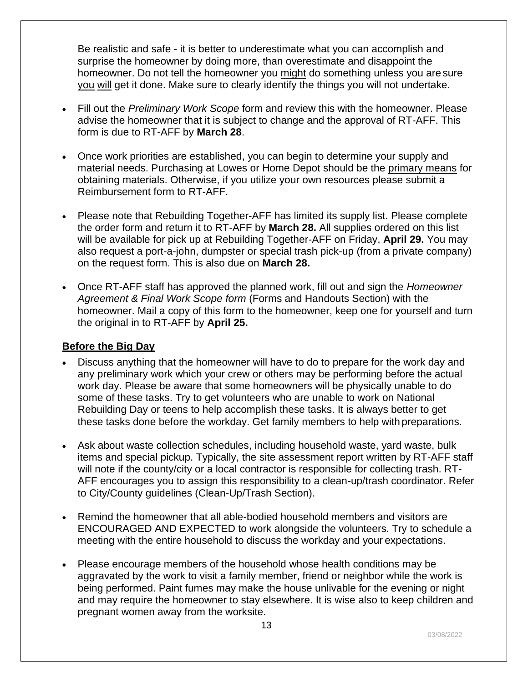Be realistic and safe - it is better to underestimate what you can accomplish and surprise the homeowner by doing more, than overestimate and disappoint the homeowner. Do not tell the homeowner you might do something unless you are sure you will get it done. Make sure to clearly identify the things you will not undertake.

- Fill out the *Preliminary Work Scope* form and review this with the homeowner. Please advise the homeowner that it is subject to change and the approval of RT-AFF. This form is due to RT-AFF by **March 28**.
- Once work priorities are established, you can begin to determine your supply and material needs. Purchasing at Lowes or Home Depot should be the primary means for obtaining materials. Otherwise, if you utilize your own resources please submit a Reimbursement form to RT-AFF.
- Please note that Rebuilding Together-AFF has limited its supply list. Please complete the order form and return it to RT-AFF by **March 28.** All supplies ordered on this list will be available for pick up at Rebuilding Together-AFF on Friday, **April 29.** You may also request a port-a-john, dumpster or special trash pick-up (from a private company) on the request form. This is also due on **March 28.**
- Once RT-AFF staff has approved the planned work, fill out and sign the *Homeowner Agreement & Final Work Scope form* (Forms and Handouts Section) with the homeowner. Mail a copy of this form to the homeowner, keep one for yourself and turn the original in to RT-AFF by **April 25.**

#### <span id="page-12-0"></span>**Before the Big Day**

- Discuss anything that the homeowner will have to do to prepare for the work day and any preliminary work which your crew or others may be performing before the actual work day. Please be aware that some homeowners will be physically unable to do some of these tasks. Try to get volunteers who are unable to work on National Rebuilding Day or teens to help accomplish these tasks. It is always better to get these tasks done before the workday. Get family members to help with preparations.
- Ask about waste collection schedules, including household waste, yard waste, bulk items and special pickup. Typically, the site assessment report written by RT-AFF staff will note if the county/city or a local contractor is responsible for collecting trash. RT-AFF encourages you to assign this responsibility to a clean-up/trash coordinator. Refer to City/County guidelines (Clean-Up/Trash Section).
- Remind the homeowner that all able-bodied household members and visitors are ENCOURAGED AND EXPECTED to work alongside the volunteers. Try to schedule a meeting with the entire household to discuss the workday and your expectations.
- Please encourage members of the household whose health conditions may be aggravated by the work to visit a family member, friend or neighbor while the work is being performed. Paint fumes may make the house unlivable for the evening or night and may require the homeowner to stay elsewhere. It is wise also to keep children and pregnant women away from the worksite.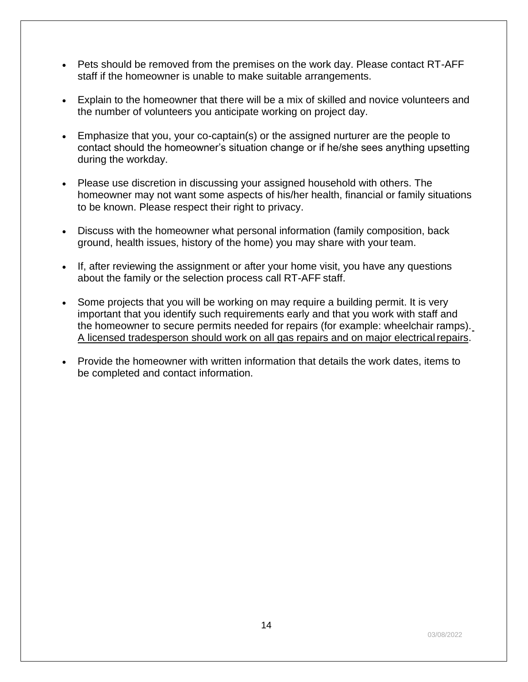- Pets should be removed from the premises on the work day. Please contact RT-AFF staff if the homeowner is unable to make suitable arrangements.
- Explain to the homeowner that there will be a mix of skilled and novice volunteers and the number of volunteers you anticipate working on project day.
- Emphasize that you, your co-captain(s) or the assigned nurturer are the people to contact should the homeowner's situation change or if he/she sees anything upsetting during the workday.
- Please use discretion in discussing your assigned household with others. The homeowner may not want some aspects of his/her health, financial or family situations to be known. Please respect their right to privacy.
- Discuss with the homeowner what personal information (family composition, back ground, health issues, history of the home) you may share with your team.
- If, after reviewing the assignment or after your home visit, you have any questions about the family or the selection process call RT-AFF staff.
- Some projects that you will be working on may require a building permit. It is very important that you identify such requirements early and that you work with staff and the homeowner to secure permits needed for repairs (for example: wheelchair ramps). A licensed tradesperson should work on all gas repairs and on major electricalrepairs.
- Provide the homeowner with written information that details the work dates, items to be completed and contact information.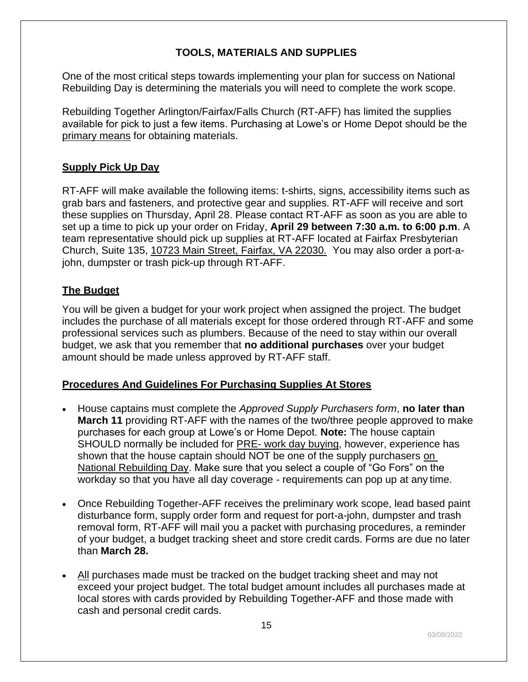#### **TOOLS, MATERIALS AND SUPPLIES**

<span id="page-14-0"></span>One of the most critical steps towards implementing your plan for success on National Rebuilding Day is determining the materials you will need to complete the work scope.

Rebuilding Together Arlington/Fairfax/Falls Church (RT-AFF) has limited the supplies available for pick to just a few items. Purchasing at Lowe's or Home Depot should be the primary means for obtaining materials.

#### <span id="page-14-1"></span>**Supply Pick Up Day**

RT-AFF will make available the following items: t-shirts, signs, accessibility items such as grab bars and fasteners, and protective gear and supplies. RT-AFF will receive and sort these supplies on Thursday, April 28. Please contact RT-AFF as soon as you are able to set up a time to pick up your order on Friday, **April 29 between 7:30 a.m. to 6:00 p.m**. A team representative should pick up supplies at RT-AFF located at Fairfax Presbyterian Church, Suite 135, 10723 Main Street, Fairfax, VA 22030. You may also order a port-ajohn, dumpster or trash pick-up through RT-AFF.

#### <span id="page-14-2"></span>**The Budget**

You will be given a budget for your work project when assigned the project. The budget includes the purchase of all materials except for those ordered through RT-AFF and some professional services such as plumbers. Because of the need to stay within our overall budget, we ask that you remember that **no additional purchases** over your budget amount should be made unless approved by RT-AFF staff.

#### **Procedures And Guidelines For Purchasing Supplies At Stores**

- House captains must complete the *Approved Supply Purchasers form*, **no later than March 11** providing RT-AFF with the names of the two/three people approved to make purchases for each group at Lowe's or Home Depot. **Note:** The house captain SHOULD normally be included for **PRE-** work day buying, however, experience has shown that the house captain should NOT be one of the supply purchasers on National Rebuilding Day. Make sure that you select a couple of "Go Fors" on the workday so that you have all day coverage - requirements can pop up at any time.
- Once Rebuilding Together-AFF receives the preliminary work scope, lead based paint disturbance form, supply order form and request for port-a-john, dumpster and trash removal form, RT-AFF will mail you a packet with purchasing procedures, a reminder of your budget, a budget tracking sheet and store credit cards. Forms are due no later than **March 28.**
- All purchases made must be tracked on the budget tracking sheet and may not exceed your project budget. The total budget amount includes all purchases made at local stores with cards provided by Rebuilding Together-AFF and those made with cash and personal credit cards.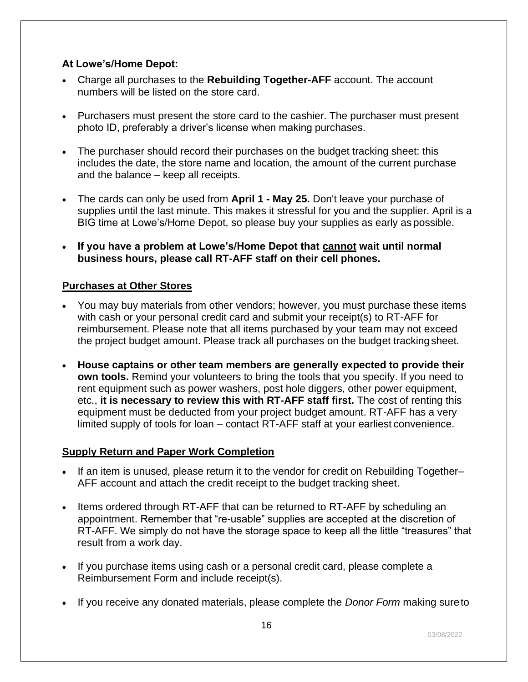#### **At Lowe's/Home Depot:**

- Charge all purchases to the **Rebuilding Together-AFF** account. The account numbers will be listed on the store card.
- Purchasers must present the store card to the cashier. The purchaser must present photo ID, preferably a driver's license when making purchases.
- The purchaser should record their purchases on the budget tracking sheet: this includes the date, the store name and location, the amount of the current purchase and the balance – keep all receipts.
- The cards can only be used from **April 1 - May 25.** Don't leave your purchase of supplies until the last minute. This makes it stressful for you and the supplier. April is a BIG time at Lowe's/Home Depot, so please buy your supplies as early as possible.
- **If you have a problem at Lowe's/Home Depot that cannot wait until normal business hours, please call RT-AFF staff on their cell phones.**

#### **Purchases at Other Stores**

- You may buy materials from other vendors; however, you must purchase these items with cash or your personal credit card and submit your receipt(s) to RT-AFF for reimbursement. Please note that all items purchased by your team may not exceed the project budget amount. Please track all purchases on the budget trackingsheet.
- **House captains or other team members are generally expected to provide their own tools.** Remind your volunteers to bring the tools that you specify. If you need to rent equipment such as power washers, post hole diggers, other power equipment, etc., **it is necessary to review this with RT-AFF staff first.** The cost of renting this equipment must be deducted from your project budget amount. RT-AFF has a very limited supply of tools for loan – contact RT-AFF staff at your earliest convenience.

#### <span id="page-15-0"></span>**Supply Return and Paper Work Completion**

- If an item is unused, please return it to the vendor for credit on Rebuilding Together– AFF account and attach the credit receipt to the budget tracking sheet.
- Items ordered through RT-AFF that can be returned to RT-AFF by scheduling an appointment. Remember that "re-usable" supplies are accepted at the discretion of RT-AFF. We simply do not have the storage space to keep all the little "treasures" that result from a work day.
- If you purchase items using cash or a personal credit card, please complete a Reimbursement Form and include receipt(s).
- If you receive any donated materials, please complete the *Donor Form* making sureto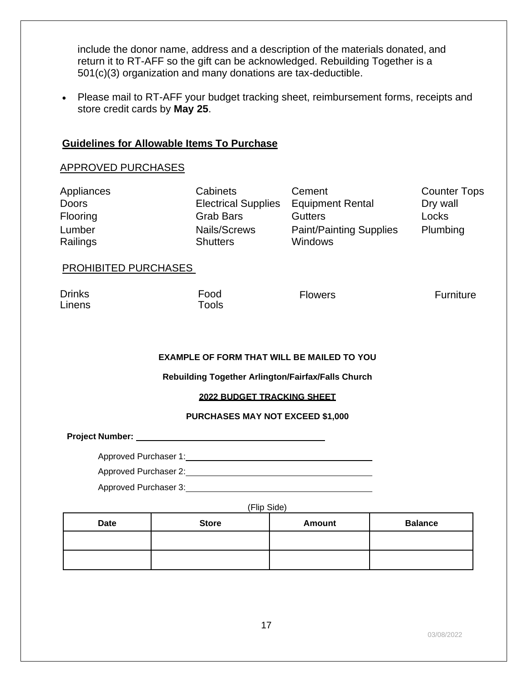include the donor name, address and a description of the materials donated, and return it to RT-AFF so the gift can be acknowledged. Rebuilding Together is a 501(c)(3) organization and many donations are tax-deductible.

• Please mail to RT-AFF your budget tracking sheet, reimbursement forms, receipts and store credit cards by **May 25**.

#### **Guidelines for Allowable Items To Purchase**

#### APPROVED PURCHASES

| Appliances<br><b>Doors</b><br>Flooring<br>Lumber<br>Railings<br><b>PROHIBITED PURCHASES</b>             | Cabinets<br><b>Electrical Supplies</b><br>Grab Bars<br>Nails/Screws<br><b>Shutters</b> | Cement<br><b>Equipment Rental</b><br><b>Gutters</b><br><b>Paint/Painting Supplies</b><br>Windows | <b>Counter Tops</b><br>Dry wall<br>Locks<br>Plumbing |  |  |
|---------------------------------------------------------------------------------------------------------|----------------------------------------------------------------------------------------|--------------------------------------------------------------------------------------------------|------------------------------------------------------|--|--|
|                                                                                                         |                                                                                        |                                                                                                  |                                                      |  |  |
| <b>Drinks</b><br>Linens                                                                                 | Food<br>Tools                                                                          | <b>Flowers</b>                                                                                   | <b>Furniture</b>                                     |  |  |
| <b>EXAMPLE OF FORM THAT WILL BE MAILED TO YOU</b><br>Rebuilding Together Arlington/Fairfax/Falls Church |                                                                                        |                                                                                                  |                                                      |  |  |
|                                                                                                         |                                                                                        |                                                                                                  |                                                      |  |  |
|                                                                                                         | 2022 BUDGET TRACKING SHEET                                                             |                                                                                                  |                                                      |  |  |
| PURCHASES MAY NOT EXCEED \$1,000                                                                        |                                                                                        |                                                                                                  |                                                      |  |  |
|                                                                                                         |                                                                                        |                                                                                                  |                                                      |  |  |
|                                                                                                         | Approved Purchaser 1: Approved Purchaser 1:                                            |                                                                                                  |                                                      |  |  |
|                                                                                                         |                                                                                        |                                                                                                  |                                                      |  |  |

(Flip Side)

| <b>Date</b> | <b>Store</b> | Amount | <b>Balance</b> |
|-------------|--------------|--------|----------------|
|             |              |        |                |
|             |              |        |                |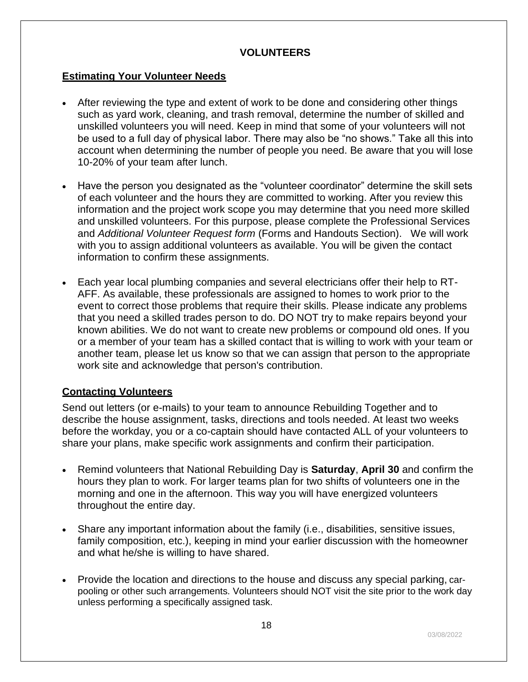#### **VOLUNTEERS**

#### <span id="page-17-1"></span><span id="page-17-0"></span>**Estimating Your Volunteer Needs**

- After reviewing the type and extent of work to be done and considering other things such as yard work, cleaning, and trash removal, determine the number of skilled and unskilled volunteers you will need. Keep in mind that some of your volunteers will not be used to a full day of physical labor. There may also be "no shows." Take all this into account when determining the number of people you need. Be aware that you will lose 10-20% of your team after lunch.
- Have the person you designated as the "volunteer coordinator" determine the skill sets of each volunteer and the hours they are committed to working. After you review this information and the project work scope you may determine that you need more skilled and unskilled volunteers. For this purpose, please complete the Professional Services and *Additional Volunteer Request form* (Forms and Handouts Section). We will work with you to assign additional volunteers as available. You will be given the contact information to confirm these assignments.
- Each year local plumbing companies and several electricians offer their help to RT-AFF. As available, these professionals are assigned to homes to work prior to the event to correct those problems that require their skills. Please indicate any problems that you need a skilled trades person to do. DO NOT try to make repairs beyond your known abilities. We do not want to create new problems or compound old ones. If you or a member of your team has a skilled contact that is willing to work with your team or another team, please let us know so that we can assign that person to the appropriate work site and acknowledge that person's contribution.

#### <span id="page-17-2"></span>**Contacting Volunteers**

Send out letters (or e-mails) to your team to announce Rebuilding Together and to describe the house assignment, tasks, directions and tools needed. At least two weeks before the workday, you or a co-captain should have contacted ALL of your volunteers to share your plans, make specific work assignments and confirm their participation.

- Remind volunteers that National Rebuilding Day is **Saturday**, **April 30** and confirm the hours they plan to work. For larger teams plan for two shifts of volunteers one in the morning and one in the afternoon. This way you will have energized volunteers throughout the entire day.
- Share any important information about the family (i.e., disabilities, sensitive issues, family composition, etc.), keeping in mind your earlier discussion with the homeowner and what he/she is willing to have shared.
- Provide the location and directions to the house and discuss any special parking, carpooling or other such arrangements. Volunteers should NOT visit the site prior to the work day unless performing a specifically assigned task.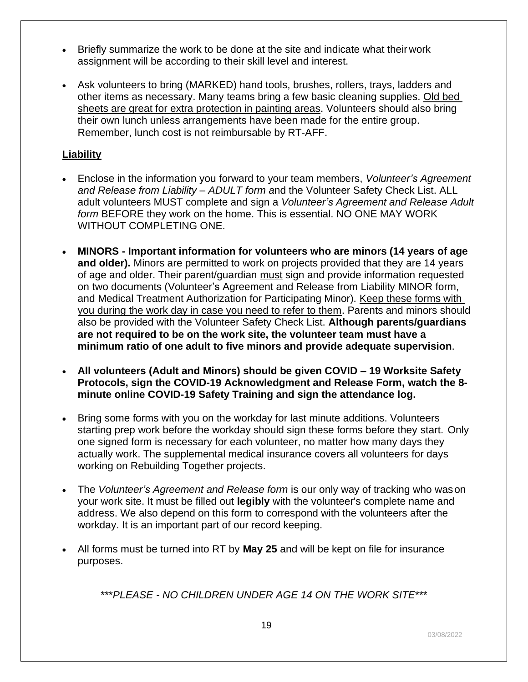- Briefly summarize the work to be done at the site and indicate what their work assignment will be according to their skill level and interest.
- Ask volunteers to bring (MARKED) hand tools, brushes, rollers, trays, ladders and other items as necessary. Many teams bring a few basic cleaning supplies. Old bed sheets are great for extra protection in painting areas. Volunteers should also bring their own lunch unless arrangements have been made for the entire group. Remember, lunch cost is not reimbursable by RT-AFF.

#### <span id="page-18-0"></span>**Liability**

- Enclose in the information you forward to your team members, *Volunteer's Agreement and Release from Liability – ADULT form a*nd the Volunteer Safety Check List. ALL adult volunteers MUST complete and sign a *Volunteer's Agreement and Release Adult form* BEFORE they work on the home. This is essential. NO ONE MAY WORK WITHOUT COMPLETING ONE.
- **MINORS - Important information for volunteers who are minors (14 years of age and older).** Minors are permitted to work on projects provided that they are 14 years of age and older. Their parent/guardian must sign and provide information requested on two documents (Volunteer's Agreement and Release from Liability MINOR form, and Medical Treatment Authorization for Participating Minor). Keep these forms with you during the work day in case you need to refer to them. Parents and minors should also be provided with the Volunteer Safety Check List. **Although parents/guardians are not required to be on the work site, the volunteer team must have a minimum ratio of one adult to five minors and provide adequate supervision**.
- **All volunteers (Adult and Minors) should be given COVID – 19 Worksite Safety Protocols, sign the COVID-19 Acknowledgment and Release Form, watch the 8 minute online COVID-19 Safety Training and sign the attendance log.**
- Bring some forms with you on the workday for last minute additions. Volunteers starting prep work before the workday should sign these forms before they start. Only one signed form is necessary for each volunteer, no matter how many days they actually work. The supplemental medical insurance covers all volunteers for days working on Rebuilding Together projects.
- The *Volunteer's Agreement and Release form* is our only way of tracking who wason your work site. It must be filled out **legibly** with the volunteer's complete name and address. We also depend on this form to correspond with the volunteers after the workday. It is an important part of our record keeping.
- All forms must be turned into RT by **May 25** and will be kept on file for insurance purposes.

\*\*\**PLEASE - NO CHILDREN UNDER AGE 14 ON THE WORK SITE*\*\*\*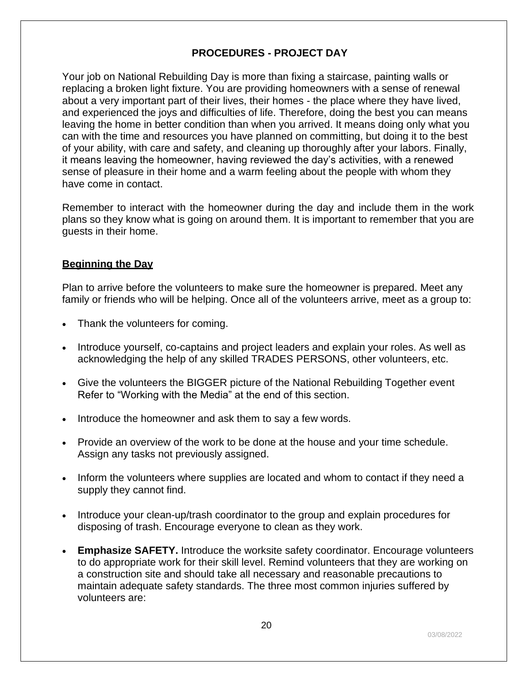#### **PROCEDURES - PROJECT DAY**

<span id="page-19-0"></span>Your job on National Rebuilding Day is more than fixing a staircase, painting walls or replacing a broken light fixture. You are providing homeowners with a sense of renewal about a very important part of their lives, their homes - the place where they have lived, and experienced the joys and difficulties of life. Therefore, doing the best you can means leaving the home in better condition than when you arrived. It means doing only what you can with the time and resources you have planned on committing, but doing it to the best of your ability, with care and safety, and cleaning up thoroughly after your labors. Finally, it means leaving the homeowner, having reviewed the day's activities, with a renewed sense of pleasure in their home and a warm feeling about the people with whom they have come in contact.

Remember to interact with the homeowner during the day and include them in the work plans so they know what is going on around them. It is important to remember that you are guests in their home.

#### <span id="page-19-1"></span>**Beginning the Day**

Plan to arrive before the volunteers to make sure the homeowner is prepared. Meet any family or friends who will be helping. Once all of the volunteers arrive, meet as a group to:

- Thank the volunteers for coming.
- Introduce yourself, co-captains and project leaders and explain your roles. As well as acknowledging the help of any skilled TRADES PERSONS, other volunteers, etc.
- Give the volunteers the BIGGER picture of the National Rebuilding Together event Refer to "Working with the Media" at the end of this section.
- Introduce the homeowner and ask them to say a few words.
- Provide an overview of the work to be done at the house and your time schedule. Assign any tasks not previously assigned.
- Inform the volunteers where supplies are located and whom to contact if they need a supply they cannot find.
- Introduce your clean-up/trash coordinator to the group and explain procedures for disposing of trash. Encourage everyone to clean as they work.
- **Emphasize SAFETY.** Introduce the worksite safety coordinator. Encourage volunteers to do appropriate work for their skill level. Remind volunteers that they are working on a construction site and should take all necessary and reasonable precautions to maintain adequate safety standards. The three most common injuries suffered by volunteers are: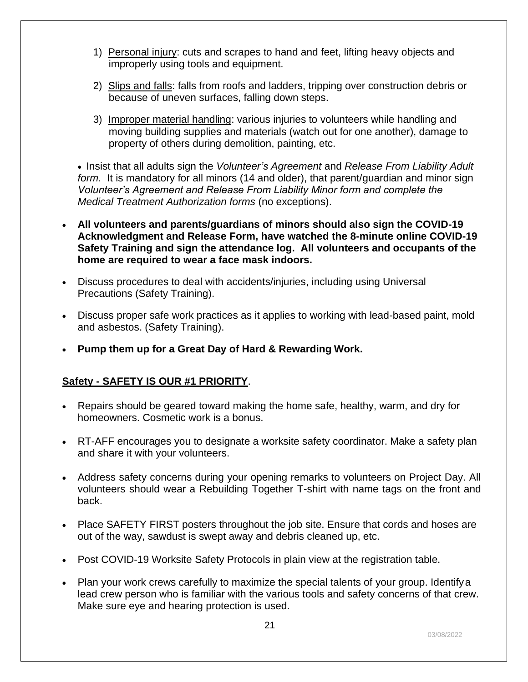- 1) Personal injury: cuts and scrapes to hand and feet, lifting heavy objects and improperly using tools and equipment.
- 2) Slips and falls: falls from roofs and ladders, tripping over construction debris or because of uneven surfaces, falling down steps.
- 3) Improper material handling: various injuries to volunteers while handling and moving building supplies and materials (watch out for one another), damage to property of others during demolition, painting, etc.

• Insist that all adults sign the *Volunteer's Agreement* and *Release From Liability Adult form.* It is mandatory for all minors (14 and older), that parent/guardian and minor sign *Volunteer's Agreement and Release From Liability Minor form and complete the Medical Treatment Authorization forms* (no exceptions).

- **All volunteers and parents/guardians of minors should also sign the COVID-19 Acknowledgment and Release Form, have watched the 8-minute online COVID-19 Safety Training and sign the attendance log. All volunteers and occupants of the home are required to wear a face mask indoors.**
- Discuss procedures to deal with accidents/injuries, including using Universal Precautions (Safety Training).
- Discuss proper safe work practices as it applies to working with lead-based paint, mold and asbestos. (Safety Training).
- **Pump them up for a Great Day of Hard & Rewarding Work.**

#### **Safety - SAFETY IS OUR #1 PRIORITY**.

- Repairs should be geared toward making the home safe, healthy, warm, and dry for homeowners. Cosmetic work is a bonus.
- RT-AFF encourages you to designate a worksite safety coordinator. Make a safety plan and share it with your volunteers.
- Address safety concerns during your opening remarks to volunteers on Project Day. All volunteers should wear a Rebuilding Together T-shirt with name tags on the front and back.
- Place SAFETY FIRST posters throughout the job site. Ensure that cords and hoses are out of the way, sawdust is swept away and debris cleaned up, etc.
- Post COVID-19 Worksite Safety Protocols in plain view at the registration table.
- Plan your work crews carefully to maximize the special talents of your group. Identifya lead crew person who is familiar with the various tools and safety concerns of that crew. Make sure eye and hearing protection is used.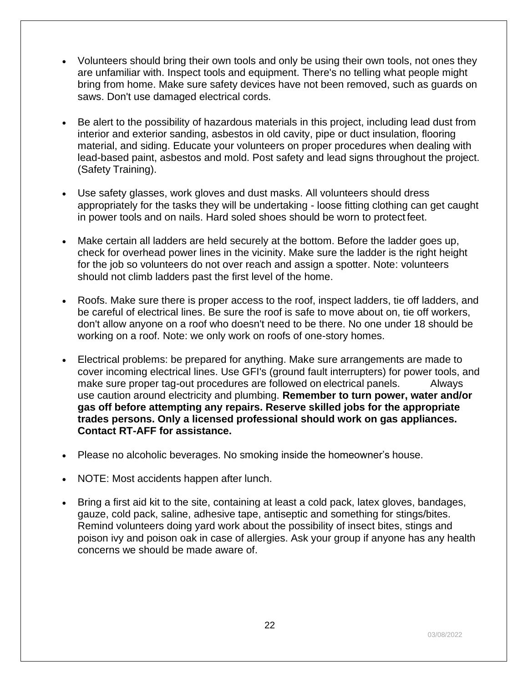- Volunteers should bring their own tools and only be using their own tools, not ones they are unfamiliar with. Inspect tools and equipment. There's no telling what people might bring from home. Make sure safety devices have not been removed, such as guards on saws. Don't use damaged electrical cords.
- Be alert to the possibility of hazardous materials in this project, including lead dust from interior and exterior sanding, asbestos in old cavity, pipe or duct insulation, flooring material, and siding. Educate your volunteers on proper procedures when dealing with lead-based paint, asbestos and mold. Post safety and lead signs throughout the project. (Safety Training).
- Use safety glasses, work gloves and dust masks. All volunteers should dress appropriately for the tasks they will be undertaking - loose fitting clothing can get caught in power tools and on nails. Hard soled shoes should be worn to protect feet.
- Make certain all ladders are held securely at the bottom. Before the ladder goes up, check for overhead power lines in the vicinity. Make sure the ladder is the right height for the job so volunteers do not over reach and assign a spotter. Note: volunteers should not climb ladders past the first level of the home.
- Roofs. Make sure there is proper access to the roof, inspect ladders, tie off ladders, and be careful of electrical lines. Be sure the roof is safe to move about on, tie off workers, don't allow anyone on a roof who doesn't need to be there. No one under 18 should be working on a roof. Note: we only work on roofs of one-story homes.
- Electrical problems: be prepared for anything. Make sure arrangements are made to cover incoming electrical lines. Use GFI's (ground fault interrupters) for power tools, and make sure proper tag-out procedures are followed on electrical panels. Always use caution around electricity and plumbing. **Remember to turn power, water and/or gas off before attempting any repairs. Reserve skilled jobs for the appropriate trades persons. Only a licensed professional should work on gas appliances. Contact RT-AFF for assistance.**
- Please no alcoholic beverages. No smoking inside the homeowner's house.
- NOTE: Most accidents happen after lunch.
- Bring a first aid kit to the site, containing at least a cold pack, latex gloves, bandages, gauze, cold pack, saline, adhesive tape, antiseptic and something for stings/bites. Remind volunteers doing yard work about the possibility of insect bites, stings and poison ivy and poison oak in case of allergies. Ask your group if anyone has any health concerns we should be made aware of.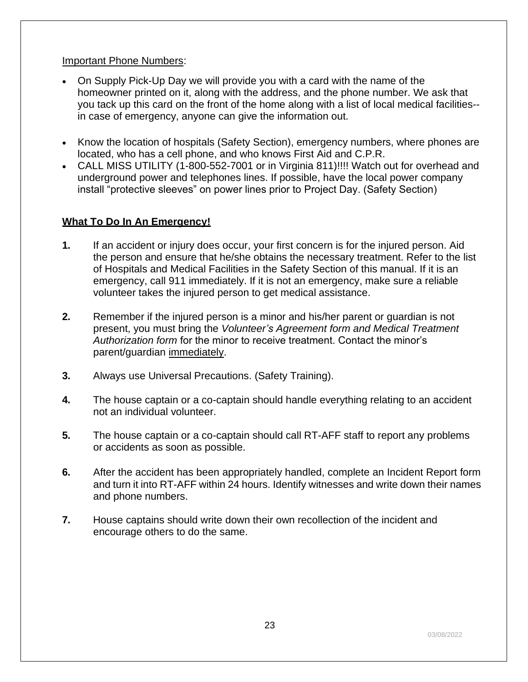#### Important Phone Numbers:

- On Supply Pick-Up Day we will provide you with a card with the name of the homeowner printed on it, along with the address, and the phone number. We ask that you tack up this card on the front of the home along with a list of local medical facilities- in case of emergency, anyone can give the information out.
- Know the location of hospitals (Safety Section), emergency numbers, where phones are located, who has a cell phone, and who knows First Aid and C.P.R.
- CALL MISS UTILITY (1-800-552-7001 or in Virginia 811)!!!! Watch out for overhead and underground power and telephones lines. If possible, have the local power company install "protective sleeves" on power lines prior to Project Day. (Safety Section)

#### <span id="page-22-0"></span>**What To Do In An Emergency!**

- **1.** If an accident or injury does occur, your first concern is for the injured person. Aid the person and ensure that he/she obtains the necessary treatment. Refer to the list of Hospitals and Medical Facilities in the Safety Section of this manual. If it is an emergency, call 911 immediately. If it is not an emergency, make sure a reliable volunteer takes the injured person to get medical assistance.
- **2.** Remember if the injured person is a minor and his/her parent or guardian is not present, you must bring the *Volunteer's Agreement form and Medical Treatment Authorization form* for the minor to receive treatment. Contact the minor's parent/guardian immediately.
- **3.** Always use Universal Precautions. (Safety Training).
- **4.** The house captain or a co-captain should handle everything relating to an accident not an individual volunteer.
- **5.** The house captain or a co-captain should call RT-AFF staff to report any problems or accidents as soon as possible.
- **6.** After the accident has been appropriately handled, complete an Incident Report form and turn it into RT-AFF within 24 hours. Identify witnesses and write down their names and phone numbers.
- **7.** House captains should write down their own recollection of the incident and encourage others to do the same.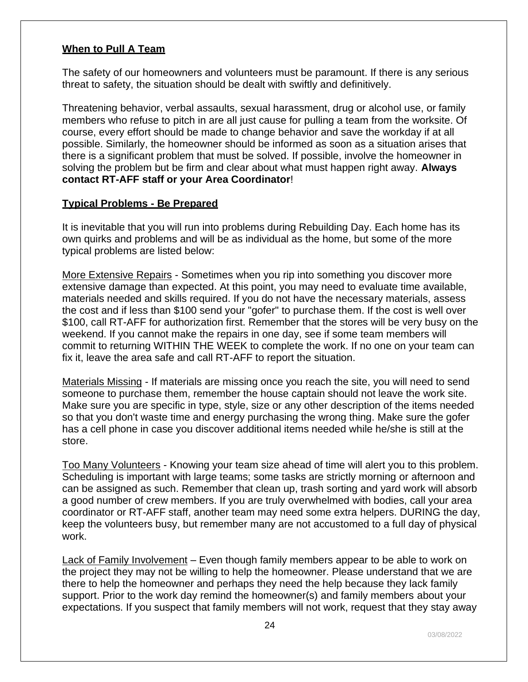#### <span id="page-23-0"></span>**When to Pull A Team**

The safety of our homeowners and volunteers must be paramount. If there is any serious threat to safety, the situation should be dealt with swiftly and definitively.

Threatening behavior, verbal assaults, sexual harassment, drug or alcohol use, or family members who refuse to pitch in are all just cause for pulling a team from the worksite. Of course, every effort should be made to change behavior and save the workday if at all possible. Similarly, the homeowner should be informed as soon as a situation arises that there is a significant problem that must be solved. If possible, involve the homeowner in solving the problem but be firm and clear about what must happen right away. **Always contact RT-AFF staff or your Area Coordinator**!

#### <span id="page-23-1"></span>**Typical Problems - Be Prepared**

It is inevitable that you will run into problems during Rebuilding Day. Each home has its own quirks and problems and will be as individual as the home, but some of the more typical problems are listed below:

More Extensive Repairs - Sometimes when you rip into something you discover more extensive damage than expected. At this point, you may need to evaluate time available, materials needed and skills required. If you do not have the necessary materials, assess the cost and if less than \$100 send your "gofer" to purchase them. If the cost is well over \$100, call RT-AFF for authorization first. Remember that the stores will be very busy on the weekend. If you cannot make the repairs in one day, see if some team members will commit to returning WITHIN THE WEEK to complete the work. If no one on your team can fix it, leave the area safe and call RT-AFF to report the situation.

Materials Missing - If materials are missing once you reach the site, you will need to send someone to purchase them, remember the house captain should not leave the work site. Make sure you are specific in type, style, size or any other description of the items needed so that you don't waste time and energy purchasing the wrong thing. Make sure the gofer has a cell phone in case you discover additional items needed while he/she is still at the store.

Too Many Volunteers - Knowing your team size ahead of time will alert you to this problem. Scheduling is important with large teams; some tasks are strictly morning or afternoon and can be assigned as such. Remember that clean up, trash sorting and yard work will absorb a good number of crew members. If you are truly overwhelmed with bodies, call your area coordinator or RT-AFF staff, another team may need some extra helpers. DURING the day, keep the volunteers busy, but remember many are not accustomed to a full day of physical work.

Lack of Family Involvement – Even though family members appear to be able to work on the project they may not be willing to help the homeowner. Please understand that we are there to help the homeowner and perhaps they need the help because they lack family support. Prior to the work day remind the homeowner(s) and family members about your expectations. If you suspect that family members will not work, request that they stay away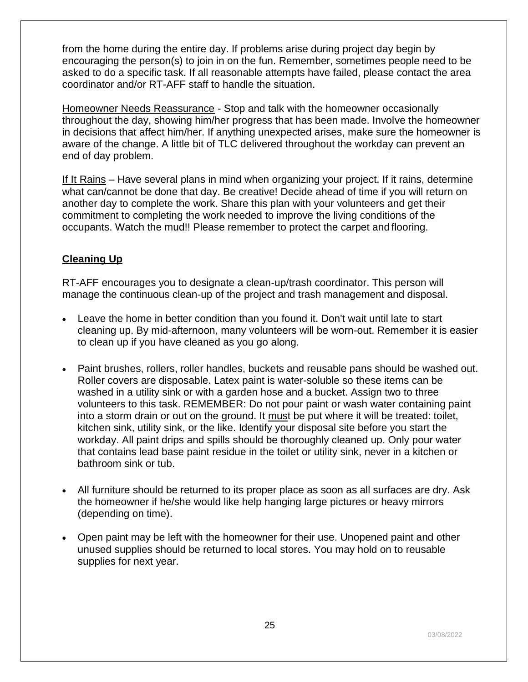from the home during the entire day. If problems arise during project day begin by encouraging the person(s) to join in on the fun. Remember, sometimes people need to be asked to do a specific task. If all reasonable attempts have failed, please contact the area coordinator and/or RT-AFF staff to handle the situation.

Homeowner Needs Reassurance - Stop and talk with the homeowner occasionally throughout the day, showing him/her progress that has been made. Involve the homeowner in decisions that affect him/her. If anything unexpected arises, make sure the homeowner is aware of the change. A little bit of TLC delivered throughout the workday can prevent an end of day problem.

If It Rains – Have several plans in mind when organizing your project. If it rains, determine what can/cannot be done that day. Be creative! Decide ahead of time if you will return on another day to complete the work. Share this plan with your volunteers and get their commitment to completing the work needed to improve the living conditions of the occupants. Watch the mud!! Please remember to protect the carpet and flooring.

#### <span id="page-24-0"></span>**Cleaning Up**

RT-AFF encourages you to designate a clean-up/trash coordinator. This person will manage the continuous clean-up of the project and trash management and disposal.

- Leave the home in better condition than you found it. Don't wait until late to start cleaning up. By mid-afternoon, many volunteers will be worn-out. Remember it is easier to clean up if you have cleaned as you go along.
- Paint brushes, rollers, roller handles, buckets and reusable pans should be washed out. Roller covers are disposable. Latex paint is water-soluble so these items can be washed in a utility sink or with a garden hose and a bucket. Assign two to three volunteers to this task. REMEMBER: Do not pour paint or wash water containing paint into a storm drain or out on the ground. It must be put where it will be treated: toilet, kitchen sink, utility sink, or the like. Identify your disposal site before you start the workday. All paint drips and spills should be thoroughly cleaned up. Only pour water that contains lead base paint residue in the toilet or utility sink, never in a kitchen or bathroom sink or tub.
- All furniture should be returned to its proper place as soon as all surfaces are dry. Ask the homeowner if he/she would like help hanging large pictures or heavy mirrors (depending on time).
- Open paint may be left with the homeowner for their use. Unopened paint and other unused supplies should be returned to local stores. You may hold on to reusable supplies for next year.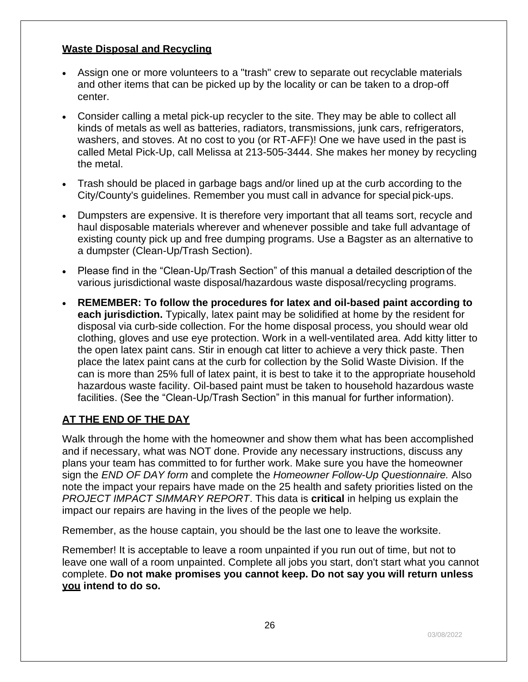#### **Waste Disposal and Recycling**

- Assign one or more volunteers to a "trash" crew to separate out recyclable materials and other items that can be picked up by the locality or can be taken to a drop-off center.
- Consider calling a metal pick-up recycler to the site. They may be able to collect all kinds of metals as well as batteries, radiators, transmissions, junk cars, refrigerators, washers, and stoves. At no cost to you (or RT-AFF)! One we have used in the past is called Metal Pick-Up, call Melissa at 213-505-3444. She makes her money by recycling the metal.
- Trash should be placed in garbage bags and/or lined up at the curb according to the City/County's guidelines. Remember you must call in advance for special pick-ups.
- Dumpsters are expensive. It is therefore very important that all teams sort, recycle and haul disposable materials wherever and whenever possible and take full advantage of existing county pick up and free dumping programs. Use a Bagster as an alternative to a dumpster (Clean-Up/Trash Section).
- Please find in the "Clean-Up/Trash Section" of this manual a detailed description of the various jurisdictional waste disposal/hazardous waste disposal/recycling programs.
- **REMEMBER: To follow the procedures for latex and oil-based paint according to each jurisdiction.** Typically, latex paint may be solidified at home by the resident for disposal via curb-side collection. For the home disposal process, you should wear old clothing, gloves and use eye protection. Work in a well-ventilated area. Add kitty litter to the open latex paint cans. Stir in enough cat litter to achieve a very thick paste. Then place the latex paint cans at the curb for collection by the Solid Waste Division. If the can is more than 25% full of latex paint, it is best to take it to the appropriate household hazardous waste facility. Oil-based paint must be taken to household hazardous waste facilities. (See the "Clean-Up/Trash Section" in this manual for further information).

#### <span id="page-25-0"></span>**AT THE END OF THE DAY**

Walk through the home with the homeowner and show them what has been accomplished and if necessary, what was NOT done. Provide any necessary instructions, discuss any plans your team has committed to for further work. Make sure you have the homeowner sign the *END OF DAY form* and complete the *Homeowner Follow-Up Questionnaire.* Also note the impact your repairs have made on the 25 health and safety priorities listed on the *PROJECT IMPACT SIMMARY REPORT*. This data is **critical** in helping us explain the impact our repairs are having in the lives of the people we help.

Remember, as the house captain, you should be the last one to leave the worksite.

Remember! It is acceptable to leave a room unpainted if you run out of time, but not to leave one wall of a room unpainted. Complete all jobs you start, don't start what you cannot complete. **Do not make promises you cannot keep. Do not say you will return unless you intend to do so.**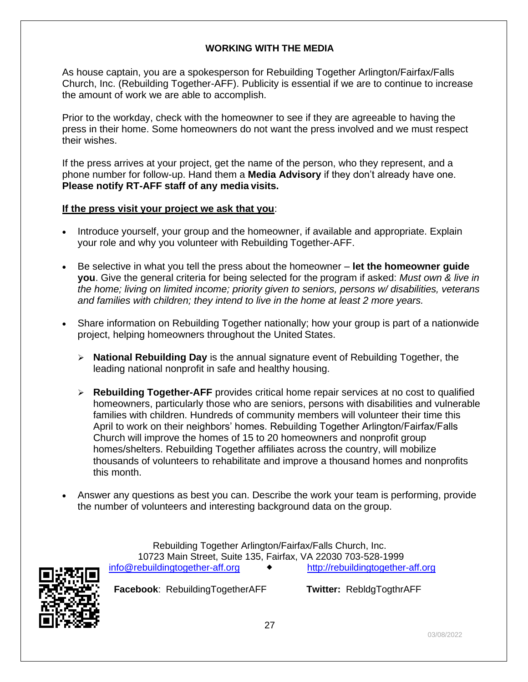#### **WORKING WITH THE MEDIA**

<span id="page-26-0"></span>As house captain, you are a spokesperson for Rebuilding Together Arlington/Fairfax/Falls Church, Inc. (Rebuilding Together-AFF). Publicity is essential if we are to continue to increase the amount of work we are able to accomplish.

Prior to the workday, check with the homeowner to see if they are agreeable to having the press in their home. Some homeowners do not want the press involved and we must respect their wishes.

If the press arrives at your project, get the name of the person, who they represent, and a phone number for follow-up. Hand them a **Media Advisory** if they don't already have one. **Please notify RT-AFF staff of any media visits.**

#### **If the press visit your project we ask that you**:

- Introduce yourself, your group and the homeowner, if available and appropriate. Explain your role and why you volunteer with Rebuilding Together-AFF.
- Be selective in what you tell the press about the homeowner **let the homeowner guide you**. Give the general criteria for being selected for the program if asked: *Must own & live in the home; living on limited income; priority given to seniors, persons w/ disabilities, veterans and families with children; they intend to live in the home at least 2 more years.*
- Share information on Rebuilding Together nationally; how your group is part of a nationwide project, helping homeowners throughout the United States.
	- ➢ **National Rebuilding Day** is the annual signature event of Rebuilding Together, the leading national nonprofit in safe and healthy housing.
	- ➢ **Rebuilding Together-AFF** provides critical home repair services at no cost to qualified homeowners, particularly those who are seniors, persons with disabilities and vulnerable families with children. Hundreds of community members will volunteer their time this April to work on their neighbors' homes. Rebuilding Together Arlington/Fairfax/Falls Church will improve the homes of 15 to 20 homeowners and nonprofit group homes/shelters. Rebuilding Together affiliates across the country, will mobilize thousands of volunteers to rehabilitate and improve a thousand homes and nonprofits this month.
- Answer any questions as best you can. Describe the work your team is performing, provide the number of volunteers and interesting background data on the group.



Rebuilding Together Arlington/Fairfax/Falls Church, Inc. 10723 Main Street, Suite 135, Fairfax, VA 22030 703-528-1999 [info@rebuildingtogether-aff.org](mailto:info@rebuildingtogether-aff.org) [http://rebuildingtogether-aff.org](http://rebuildingtogether-aff.org/)

**Facebook**: RebuildingTogetherAFF **Twitter:** RebldgTogthrAFF

27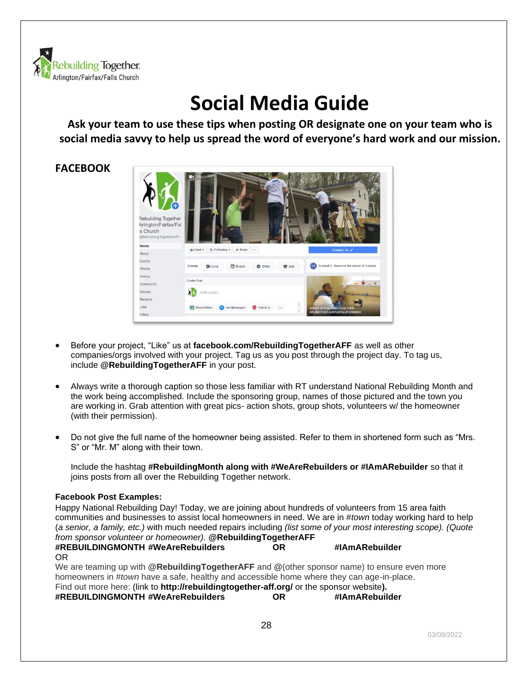

## **Social Media Guide**

**Ask your team to use these tips when posting OR designate one on your team who is social media savvy to help us spread the word of everyone's hard work and our mission.**

#### **FACEBOOK**



- Before your project, "Like" us at **facebook.com/RebuildingTogetherAFF** as well as other companies/orgs involved with your project. Tag us as you post through the project day. To tag us, include **@RebuildingTogetherAFF** in your post.
- Always write a thorough caption so those less familiar with RT understand National Rebuilding Month and the work being accomplished. Include the sponsoring group, names of those pictured and the town you are working in. Grab attention with great pics- action shots, group shots, volunteers w/ the homeowner (with their permission).
- Do not give the full name of the homeowner being assisted. Refer to them in shortened form such as "Mrs. S" or "Mr. M" along with their town.

Include the hashtag **#RebuildingMonth along with #WeAreRebuilders or #IAmARebuilder** so that it joins posts from all over the Rebuilding Together network.

#### **Facebook Post Examples:**

Happy National Rebuilding Day! Today, we are joining about hundreds of volunteers from 15 area faith communities and businesses to assist local homeowners in need. We are in #*town* today working hard to help (*a senior, a family, etc.)* with much needed repairs including *(list some of your most interesting scope). (Quote from sponsor volunteer or homeowner).* **@RebuildingTogetherAFF #REBUILDINGMONTH #WeAreRebuilders OR #IAmARebuilder** OR We are teaming up with **@RebuildingTogetherAFF** and **@**(other sponsor name) to ensure even more homeowners in #*town* have a safe, healthy and accessible home where they can age-in-place. Find out more here: (link to **http://rebuildingtogether-aff.org/** or the sponsor website**). #REBUILDINGMONTH #WeAreRebuilders OR #IAmARebuilder**